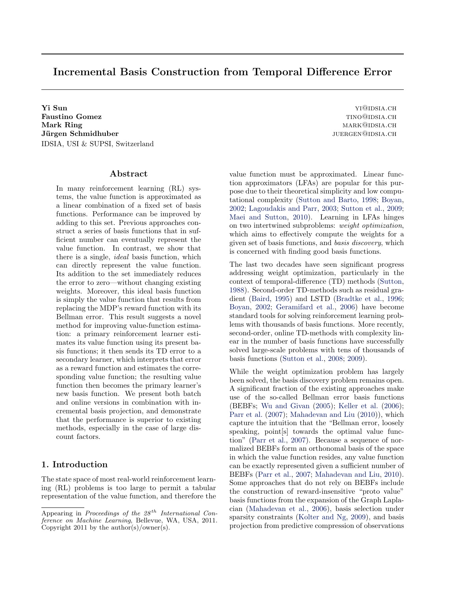# Incremental Basis Construction from Temporal Difference Error

**Yi Sun** YI<sup>@</sup>IDSIA.CH **Faustino Gomez** TINO@IDSIA.CH Mark Ring mark of the matrix of the matrix of the matrix  $\alpha$  mark  $\alpha$  mark  $\alpha$  mark  $\alpha$  matrix of the matrix of the matrix of the matrix of the matrix of the matrix of the matrix of the matrix of the matrix of the matr Jürgen Schmidhuber ist eine seit aus der der anteressen der anteressen der anteressen der anteressen der anteressen der anteressen der anteressen der anteressen der anteressen der anteressen der anteressen der anteressen d IDSIA, USI & SUPSI, Switzerland

# Abstract

In many reinforcement learning (RL) systems, the value function is approximated as a linear combination of a fixed set of basis functions. Performance can be improved by adding to this set. Previous approaches construct a series of basis functions that in sufficient number can eventually represent the value function. In contrast, we show that there is a single, ideal basis function, which can directly represent the value function. Its addition to the set immediately reduces the error to zero—without changing existing weights. Moreover, this ideal basis function is simply the value function that results from replacing the MDP's reward function with its Bellman error. This result suggests a novel method for improving value-function estimation: a primary reinforcement learner estimates its value function using its present basis functions; it then sends its TD error to a secondary learner, which interprets that error as a reward function and estimates the corresponding value function; the resulting value function then becomes the primary learner's new basis function. We present both batch and online versions in combination with incremental basis projection, and demonstrate that the performance is superior to existing methods, especially in the case of large discount factors.

# 1. Introduction

The state space of most real-world reinforcement learning (RL) problems is too large to permit a tabular representation of the value function, and therefore the

value function must be approximated. Linear function approximators (LFAs) are popular for this purpose due to their theoretical simplicity and low computational complexity [\(Sutton and Barto,](#page-7-0) [1998;](#page-7-0) [Boyan,](#page-6-0) [2002;](#page-6-0) [Lagoudakis and Parr,](#page-7-0) [2003;](#page-7-0) [Sutton et al.,](#page-7-0) [2009;](#page-7-0) [Maei and Sutton,](#page-7-0) [2010\)](#page-7-0). Learning in LFAs hinges on two intertwined subproblems: weight optimization, which aims to effectively compute the weights for a given set of basis functions, and basis discovery, which is concerned with finding good basis functions.

The last two decades have seen significant progress addressing weight optimization, particularly in the context of temporal-difference (TD) methods [\(Sutton,](#page-7-0) [1988\)](#page-7-0). Second-order TD-methods such as residual gradient [\(Baird,](#page-6-0) [1995\)](#page-6-0) and LSTD [\(Bradtke et al.,](#page-6-0) [1996;](#page-6-0) [Boyan,](#page-6-0) [2002;](#page-6-0) [Geramifard et al.,](#page-6-0) [2006\)](#page-6-0) have become standard tools for solving reinforcement learning problems with thousands of basis functions. More recently, second-order, online TD-methods with complexity linear in the number of basis functions have successfully solved large-scale problems with tens of thousands of basis functions [\(Sutton et al.,](#page-7-0) [2008;](#page-7-0) [2009\)](#page-7-0).

While the weight optimization problem has largely been solved, the basis discovery problem remains open. A significant fraction of the existing approaches make use of the so-called Bellman error basis functions (BEBFs; [Wu and Givan](#page-7-0) [\(2005\)](#page-7-0); [Keller et al.](#page-6-0) [\(2006\)](#page-6-0); [Parr et al.](#page-7-0) [\(2007\)](#page-7-0); [Mahadevan and Liu](#page-7-0) [\(2010\)](#page-7-0)), which capture the intuition that the "Bellman error, loosely speaking, point[s] towards the optimal value function" [\(Parr et al.,](#page-7-0) [2007\)](#page-7-0). Because a sequence of normalized BEBFs form an orthonomal basis of the space in which the value function resides, any value function can be exactly represented given a sufficient number of BEBFs [\(Parr et al.,](#page-7-0) [2007;](#page-7-0) [Mahadevan and Liu,](#page-7-0) [2010\)](#page-7-0). Some approaches that do not rely on BEBFs include the construction of reward-insensitive "proto value" basis functions from the expansion of the Graph Laplacian [\(Mahadevan et al.,](#page-7-0) [2006\)](#page-7-0), basis selection under sparsity constraints [\(Kolter and Ng,](#page-7-0) [2009\)](#page-7-0), and basis projection from predictive compression of observations

Appearing in Proceedings of the  $28^{th}$  International Conference on Machine Learning, Bellevue, WA, USA, 2011. Copyright 2011 by the author(s)/owner(s).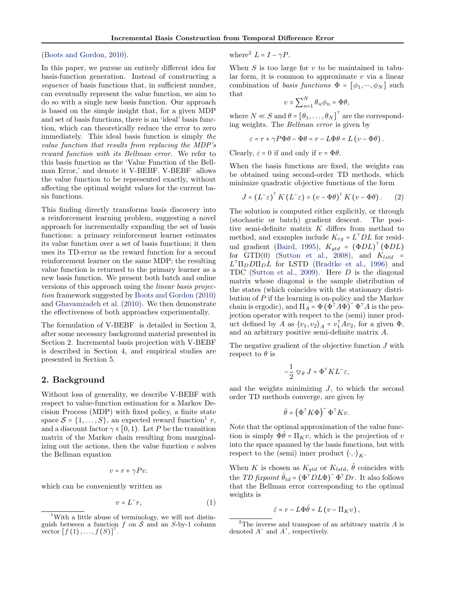#### <span id="page-1-0"></span>[\(Boots and Gordon,](#page-6-0) [2010\)](#page-6-0).

In this paper, we pursue an entirely different idea for basis-function generation. Instead of constructing a sequence of basis functions that, in sufficient number, can eventually represent the value function, we aim to do so with a single new basis function. Our approach is based on the simple insight that, for a given MDP and set of basis functions, there is an 'ideal' basis function, which can theoretically reduce the error to zero immediately. This ideal basis function is simply the value function that results from replacing the MDP's reward function with its Bellman error. We refer to this basis function as the 'Value Function of the Bellman Error,' and denote it V-BEBF. V-BEBF allows the value function to be represented exactly, without affecting the optimal weight values for the current basis functions.

This finding directly transforms basis discovery into a reinforcement learning problem, suggesting a novel approach for incrementally expanding the set of basis functions: a primary reinforcement learner estimates its value function over a set of basis functions; it then uses its TD-error as the reward function for a second reinforcement learner on the same MDP; the resulting value function is returned to the primary learner as a new basis function. We present both batch and online versions of this approach using the linear basis projection framework suggested by [Boots and Gordon](#page-6-0) [\(2010\)](#page-6-0) and [Ghavamzadeh et al.](#page-6-0) [\(2010\)](#page-6-0). We then demonstrate the effectiveness of both approaches experimentally.

The formulation of V-BEBF is detailed in Section 3, after some necessary background material presented in Section 2. Incremental basis projection with V-BEBF is described in Section 4, and empirical studies are presented in Section 5.

### 2. Background

Without loss of generality, we describe V-BEBF with respect to value-function estimation for a Markov Decision Process (MDP) with fixed policy, a finite state space  $S = \{1, \ldots, S\}$ , an expected reward function<sup>1</sup> r, and a discount factor  $\gamma \in [0,1)$ . Let P be the transition matrix of the Markov chain resulting from marginalizing out the actions, then the value function  $v$  solves the Bellman equation

$$
v = r + \gamma P v.
$$

which can be conveniently written as

$$
v = L^- r,\tag{1}
$$

where<sup>2</sup>  $L = I - \gamma P$ .

When  $S$  is too large for  $v$  to be maintained in tabular form, it is common to approximate  $v$  via a linear combination of basis functions  $\Phi = [\phi_1, \dots, \phi_N]$  such that

$$
v \simeq \sum_{n=1}^{N} \theta_n \phi_n = \Phi \theta,
$$

where  $N \ll S$  and  $\theta = [\theta_1, \dots, \theta_N]^\top$  are the corresponding weights. The Bellman error is given by

$$
\varepsilon = r + \gamma P \Phi \theta - \Phi \theta = r - L \Phi \theta = L (v - \Phi \theta).
$$

Clearly,  $\varepsilon = 0$  if and only if  $v = \Phi \theta$ .

When the basis functions are fixed, the weights can be obtained using second-order TD methods, which minimize quadratic objective functions of the form

$$
J = (L^- \varepsilon)^{\top} K (L^- \varepsilon) = (v - \Phi \theta)^{\top} K (v - \Phi \theta).
$$
 (2)

The solution is computed either explicitly, or through (stochastic or batch) gradient descent. The positive semi-definite matrix  $K$  differs from method to method, and examples include  $K_{rg} = L^{\dagger}DL$  for resid-ual gradient [\(Baird,](#page-6-0) [1995\)](#page-6-0),  $K_{gtd}$  =  $(\Phi DL)^{\dagger} (\Phi DL)$ for  $GTD(0)$  [\(Sutton et al.,](#page-7-0) [2008\)](#page-7-0), and  $K_{lstd}$  =  $L^{\dagger} \Pi_D D \Pi_D L$  for LSTD [\(Bradtke et al.,](#page-6-0) [1996\)](#page-6-0) and TDC [\(Sutton et al.,](#page-7-0) [2009\)](#page-7-0). Here  $D$  is the diagonal matrix whose diagonal is the sample distribution of the states (which coincides with the stationary distribution of P if the learning is on-policy and the Markov chain is ergodic), and  $\Pi_A = \Phi (\Phi^{\dagger} A \Phi)^{-} \Phi^{\dagger} A$  is the projection operator with respect to the (semi) inner product defined by A as  $\langle v_1, v_2 \rangle_A = v_1^{\dagger} A v_2$ , for a given  $\Phi$ , and an arbitrary positive semi-definite matrix A.

The negative gradient of the objective function J with respect to  $\theta$  is

$$
-\frac{1}{2}\nabla_{\theta} J = \Phi^{\top} K L^{-} \varepsilon,
$$

and the weights minimizing  $J$ , to which the second order TD methods converge, are given by

$$
\hat{\theta} = \left(\Phi^{\top} K \Phi\right)^{-} \Phi^{\top} K v.
$$

Note that the optimal approximation of the value function is simply  $\Phi\hat{\theta} = \Pi_K v$ , which is the projection of v into the space spanned by the basis functions, but with respect to the (semi) inner product  $\langle \cdot, \cdot \rangle_K$ .

When K is chosen as  $K_{gtd}$  or  $K_{lstd}$ ,  $\hat{\theta}$  coincides with the *TD fixpoint*  $\hat{\theta}_{td} = (\Phi^{\dagger} D L \Phi)^{-} \Phi^{\dagger} D r$ . It also follows that the Bellman error corresponding to the optimal weights is

$$
\hat{\varepsilon} = r - L\Phi\hat{\theta} = L(v - \Pi_K v),
$$

<sup>&</sup>lt;sup>1</sup>With a little abuse of terminology, we will not distinguish between a function  $f$  on  $S$  and an  $S$ -by-1 column vector  $[f(1),...,f(S)]^{\mathsf{T}}$ .

<sup>&</sup>lt;sup>2</sup>The inverse and transpose of an arbitrary matrix  $A$  is denoted  $A^-$  and  $A^{\dagger}$ , respectively.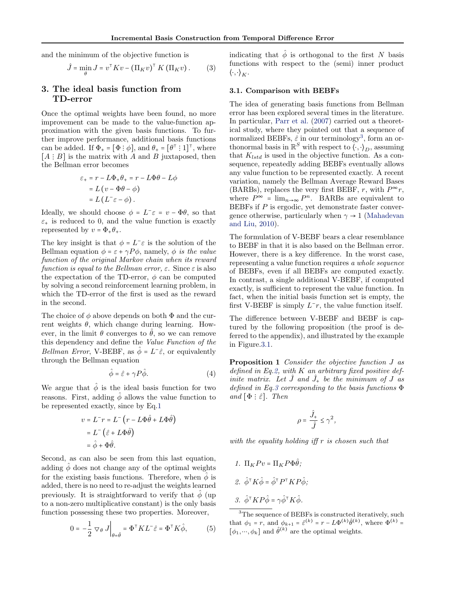<span id="page-2-0"></span>and the minimum of the objective function is

$$
\hat{J} = \min_{\theta} J = v^{\top} K v - (\Pi_K v)^{\top} K (\Pi_K v).
$$
 (3)

# 3. The ideal basis function from TD-error

Once the optimal weights have been found, no more improvement can be made to the value-function approximation with the given basis functions. To further improve performance, additional basis functions can be added. If  $\Phi_+ = [\Phi \, : \, \phi]$ , and  $\theta_+ = [\theta^{\top} \, : \, 1]^{\top}$ , where  $[A : B]$  is the matrix with A and B juxtaposed, then the Bellman error becomes

$$
\varepsilon_{+} = r - L\Phi_{+}\theta_{+} = r - L\Phi\theta - L\phi
$$

$$
= L(v - \Phi\theta - \phi)
$$

$$
= L(L^{-}\varepsilon - \phi).
$$

Ideally, we should choose  $\phi = L^-\varepsilon = v - \Phi\theta$ , so that  $\varepsilon_{+}$  is reduced to 0, and the value function is exactly represented by  $v = \Phi_+ \theta_+$ .

The key insight is that  $\phi = L^{-} \varepsilon$  is the solution of the Bellman equation  $\phi = \varepsilon + \gamma P \phi$ , namely,  $\phi$  is the value function of the original Markov chain when its reward function is equal to the Bellman error,  $\varepsilon$ . Since  $\varepsilon$  is also the expectation of the TD-error,  $\phi$  can be computed by solving a second reinforcement learning problem, in which the TD-error of the first is used as the reward in the second.

The choice of  $\phi$  above depends on both  $\Phi$  and the current weights  $\theta$ , which change during learning. However, in the limit  $\theta$  converges to  $\hat{\theta}$ , so we can remove this dependency and define the Value Function of the Bellman Error, V-BEBF, as  $\hat{\phi} = L^{-\hat{\varepsilon}}$ , or equivalently through the Bellman equation

$$
\hat{\phi} = \hat{\varepsilon} + \gamma P \hat{\phi}.
$$
\n(4)

We argue that  $\hat{\phi}$  is the ideal basis function for two reasons. First, adding  $\hat{\phi}$  allows the value function to be represented exactly, since by Eq[.1](#page-1-0)

$$
v = L^- r = L^- (r - L\Phi \hat{\theta} + L\Phi \hat{\theta})
$$
  
=  $L^- (\hat{\varepsilon} + L\Phi \hat{\theta})$   
=  $\hat{\phi} + \Phi \hat{\theta}$ .

Second, as can also be seen from this last equation, adding  $\hat{\phi}$  does not change any of the optimal weights for the existing basis functions. Therefore, when  $\ddot{\phi}$  is added, there is no need to re-adjust the weights learned previously. It is straightforward to verify that  $\phi$  (up to a non-zero multiplicative constant) is the only basis function possessing these two properties. Moreover,

$$
0 = -\frac{1}{2} \nabla_{\theta} J \Big|_{\theta = \hat{\theta}} = \Phi^{\top} K L^{-} \hat{\varepsilon} = \Phi^{\top} K \hat{\phi}, \tag{5}
$$

indicating that  $\hat{\phi}$  is orthogonal to the first N basis functions with respect to the (semi) inner product  $\langle \cdot, \cdot \rangle_K$ .

#### 3.1. Comparison with BEBFs

The idea of generating basis functions from Bellman error has been explored several times in the literature. In particular, [Parr et al.](#page-7-0) [\(2007\)](#page-7-0) carried out a theoretical study, where they pointed out that a sequence of normalized BEBFs,  $\hat{\varepsilon}$  in our terminology<sup>3</sup>, form an orthonormal basis in  $\mathbb{R}^S$  with respect to  $\langle \cdot, \cdot \rangle_D$ , assuming that  $K_{lstd}$  is used in the objective function. As a consequence, repeatedly adding BEBFs eventually allows any value function to be represented exactly. A recent variation, namely the Bellman Average Reward Bases (BARBs), replaces the very first BEBF, r, with  $P^{\infty}r$ , where  $P^{\infty} = \lim_{n \to \infty} P^n$ . BARBs are equivalent to BEBFs if  $P$  is ergodic, yet demonstrate faster convergence otherwise, particularly when  $\gamma \rightarrow 1$  [\(Mahadevan](#page-7-0) [and Liu,](#page-7-0) [2010\)](#page-7-0).

The formulation of V-BEBF bears a clear resemblance to BEBF in that it is also based on the Bellman error. However, there is a key difference. In the worst case, representing a value function requires a whole sequence of BEBFs, even if all BEBFs are computed exactly. In contrast, a single additional V-BEBF, if computed exactly, is sufficient to represent the value function. In fact, when the initial basis function set is empty, the first V-BEBF is simply  $L^-\mathbf{r}$ , the value function itself.

The difference between V-BEBF and BEBF is captured by the following proposition (the proof is deferred to the appendix), and illustrated by the example in Figure.3.1.

Proposition 1 Consider the objective function J as defined in Eq[.2,](#page-1-0) with  $K$  an arbitrary fixed positive definite matrix. Let  $\hat{J}$  and  $\hat{J}_+$  be the minimum of  $J$  as defined in Eq.3 corresponding to the basis functions  $\Phi$ and  $[\Phi : \hat{\varepsilon}]$ . Then

$$
\rho = \frac{\hat{J}_+}{\hat{J}} \le \gamma^2,
$$

with the equality holding iff r is chosen such that

1.  $\Pi_K P v = \Pi_K P \Phi \hat{\theta}$ ; 2.  $\hat{\phi}^{\dagger} K \hat{\phi} = \hat{\phi}^{\dagger} P^{\dagger} K P \hat{\phi}$ ; 3.  $\hat{\phi}^{\dagger} K P \hat{\phi} = \gamma \hat{\phi}^{\dagger} K \hat{\phi}$ .

<sup>&</sup>lt;sup>3</sup>The sequence of BEBFs is constructed iteratively, such that  $\phi_1 = r$ , and  $\phi_{k+1} = \hat{\varepsilon}^{(k)} = r - L\Phi^{(k)}\hat{\theta}^{(k)}$ , where  $\Phi^{(k)} =$  $[\phi_1, \cdots, \phi_k]$  and  $\hat{\theta}^{(k)}$  are the optimal weights.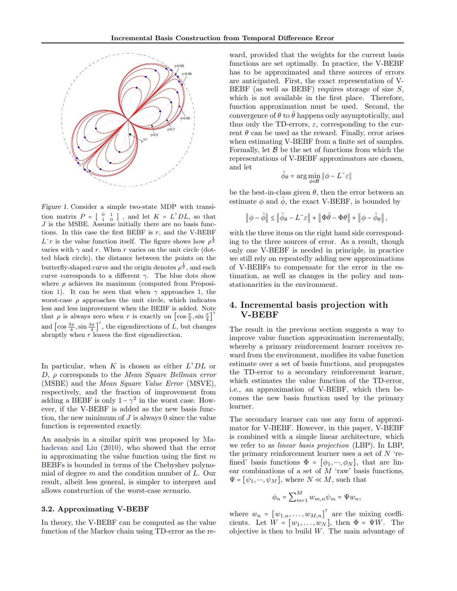

Figure 1. Consider a simple two-state MDP with transition matrix  $P = \begin{bmatrix} 0 & 1 \\ 1 & 0 \end{bmatrix}$ , and let  $K = L<sup>T</sup>DL$ , so that  $J$  is the MSBE. Assume initially there are no basis functions. In this case the first BEBF is  $r$ , and the V-BEBF  $L^-r$  is the value function itself. The figure shows how  $\rho^{\frac{1}{2}}$ varies with  $\gamma$  and r. When r varies on the unit circle (dotted black circle), the distance between the points on the butterfly-shaped curve and the origin denotes  $\rho^{\frac{1}{2}}$ , and each curve corresponds to a different  $\gamma$ . The blue dots show where  $\rho$  achieves its maximum (computed from Proposi-tion [1\)](#page-2-0). It can be seen that when  $\gamma$  approaches 1, the worst-case  $\rho$  approaches the unit circle, which indicates less and less improvement when the BEBF is added. Note that  $\rho$  is always zero when r is exactly on  $\left[\cos{\frac{\pi}{4}}, \sin{\frac{\pi}{4}}\right]^\top$ and  $\left[\cos \frac{3\pi}{4}, \sin \frac{3\pi}{4}\right]^\top$ , the eigendirections of L, but changes abruptly when r leaves the first eigendirection.

In particular, when K is chosen as either  $L<sup>T</sup>DL$  or  $D, \rho$  corresponds to the Mean Square Bellman error (MSBE) and the Mean Square Value Error (MSVE), respectively, and the fraction of improvement from adding a BEBF is only  $1 - \gamma^2$  in the worst case. However, if the V-BEBF is added as the new basis function, the new minimum of  $J$  is always 0 since the value function is represented exactly.

An analysis in a similar spirit was proposed by [Ma](#page-7-0)[hadevan and Liu](#page-7-0) [\(2010\)](#page-7-0), who showed that the error in approximating the value function using the first  $m$ BEBFs is bounded in terms of the Chebyshev polynomial of degree  $m$  and the condition number of  $L$ . Our result, albeit less general, is simpler to interpret and allows construction of the worst-case scenario.

#### 3.2. Approximating V-BEBF

In theory, the V-BEBF can be computed as the value function of the Markov chain using TD-error as the re-

ward, provided that the weights for the current basis functions are set optimally. In practice, the V-BEBF has to be approximated and three sources of errors are anticipated. First, the exact representation of V-BEBF (as well as BEBF) requires storage of size  $S$ , which is not available in the first place. Therefore, function approximation must be used. Second, the convergence of  $\theta$  to  $\hat{\theta}$  happens only asymptotically, and thus only the TD-errors,  $\varepsilon$ , corresponding to the current  $\theta$  can be used as the reward. Finally, error arises when estimating V-BEBF from a finite set of samples. Formally, let  $\beta$  be the set of functions from which the representations of V-BEBF approximators are chosen, and let

$$
\hat{\phi}_{\theta} = \arg\min_{\phi \in \mathcal{B}} \|\phi - L^{-}\varepsilon\|
$$

be the best-in-class given  $\theta$ , then the error between an estimate  $\phi$  and  $\hat{\phi}$ , the exact V-BEBF, is bounded by

$$
\left\|\phi - \hat{\phi}\right\| \le \left\|\hat{\phi}_{\theta} - L^{-} \varepsilon\right\| + \left\|\Phi\hat{\theta} - \Phi\theta\right\| + \left\|\phi - \hat{\phi}_{\theta}\right\|,
$$

with the three items on the right hand side corresponding to the three sources of error. As a result, though only one V-BEBF is needed in principle, in practice we still rely on repeatedly adding new approximations of V-BEBFs to compensate for the error in the estimation, as well as changes in the policy and nonstationarities in the environment.

# 4. Incremental basis projection with V-BEBF

The result in the previous section suggests a way to improve value function approximation incrementally, whereby a primary reinforcement learner receives reward from the environment, modifies its value function estimate over a set of basis functions, and propagates the TD-error to a secondary reinforcement learner, which estimates the value function of the TD-error, i.e., an approximation of V-BEBF, which then becomes the new basis function used by the primary learner.

The secondary learner can use any form of approximator for V-BEBF. However, in this paper, V-BEBF is combined with a simple linear architecture, which we refer to as linear basis projection (LBP). In LBP, the primary reinforcement learner uses a set of  $N$  'refined' basis functions  $\Phi = [\phi_1, \dots, \phi_N]$ , that are linear combinations of a set of  $M$  'raw' basis functions,  $\Psi = [\psi_1, \dots, \psi_M],$  where  $N \ll M$ , such that

$$
\phi_n = \sum_{m=1}^M w_{m,n} \psi_m = \Psi w_n,
$$

where  $w_n = [w_{1,n}, \ldots, w_{M,n}]^{\mathsf{T}}$  are the mixing coefficients. Let  $\overline{W} = [w_1, \ldots, w_N]$ , then  $\Phi = \Psi W$ . The objective is then to build  $W$ . The main advantage of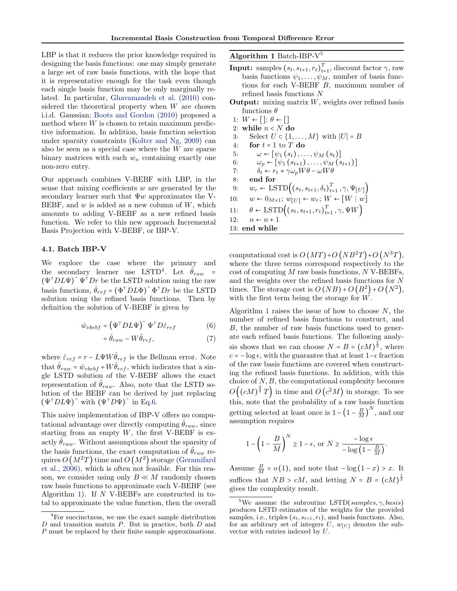<span id="page-4-0"></span>LBP is that it reduces the prior knowledge required in designing the basis functions: one may simply generate a large set of raw basis functions, with the hope that it is representative enough for the task even though each single basis function may be only marginally related. In particular, [Ghavamzadeh et al.](#page-6-0) [\(2010\)](#page-6-0) considered the theoretical property when  $W$  are chosen i.i.d. Gaussian; [Boots and Gordon](#page-6-0) [\(2010\)](#page-6-0) proposed a method where  $W$  is chosen to retain maximum predictive information. In addition, basis function selection under sparsity constraints [\(Kolter and Ng,](#page-7-0) [2009\)](#page-7-0) can also be seen as a special case where the W are sparse binary matrices with each  $w_n$  containing exactly one non-zero entry.

Our approach combines V-BEBF with LBP, in the sense that mixing coefficients  $w$  are generated by the secondary learner such that  $\Psi w$  approximates the V-BEBF, and  $w$  is added as a new column of  $W$ , which amounts to adding V-BEBF as a new refined basis function. We refer to this new approach Incremental Basis Projection with V-BEBF, or IBP-V.

#### 4.1. Batch IBP-V

We explore the case where the primary and the secondary learner use LSTD<sup>4</sup>. Let  $\hat{\theta}_{raw}$  =  $(\Psi^{\dagger} D L \Psi)^{-} \Psi^{\dagger} D r$  be the LSTD solution using the raw basis functions,  $\hat{\theta}_{ref} = (\Phi^{\dagger} D L \Phi)^{-} \Phi^{\dagger} D r$  be the LSTD solution using the refined basis functions. Then by definition the solution of V-BEBF is given by

$$
\hat{w}_{v\,} = \left(\Psi^{\top} D L \Psi\right)^{-} \Psi^{\top} D \hat{\varepsilon}_{ref} \tag{6}
$$

$$
=\hat{\theta}_{raw} - W\hat{\theta}_{ref},\tag{7}
$$

where  $\hat{\varepsilon}_{ref} = r - L \Psi W \hat{\theta}_{ref}$  is the Bellman error. Note that  $\hat{\theta}_{raw} = \hat{w}_{vbef} + W\hat{\theta}_{ref}$ , which indicates that a single LSTD solution of the V-BEBF allows the exact representation of  $\hat{\theta}_{raw}$ . Also, note that the LSTD solution of the BEBF can be derived by just replacing  $(\Psi^{\dagger} D L \Psi)^{-}$  with  $(\Psi^{\dagger} D \Psi)^{-}$  in Eq.6.

This naive implementation of IBP-V offers no computational advantage over directly computing  $\hat{\theta}_{raw}$ , since starting from an empty  $W$ , the first V-BEBF is exactly  $\hat{\theta}_{raw}$ . Without assumptions about the sparsity of the basis functions, the exact computation of  $\hat{\theta}_{raw}$  requires  $O\left(M^{2}T\right)$  time and  $O\left(M^{2}\right)$  storage [\(Geramifard](#page-6-0) [et al.,](#page-6-0) [2006\)](#page-6-0), which is often not feasible. For this reason, we consider using only  $B \ll M$  randomly chosen raw basis functions to approximate each V-BEBF (see Algorithm 1). If  $N$  V-BEBFs are constructed in total to approximate the value function, then the overall Algorithm 1 Batch-IBP- $V^5$ 

- **Input:** samples  $(s_t, s_{t+1}, r_t)_{t=1}^T$ , discount factor  $\gamma$ , raw basis functions  $\psi_1, \ldots, \psi_M$ , number of basis functions for each V-BEBF B, maximum number of refined basis functions N
- **Output:** mixing matrix  $W$ , weights over refined basis functions  $\theta$
- 1:  $W \leftarrow [~]; \, \theta \leftarrow [~]$ 2: while  $n < N$  do 3: Select  $U \subset \{1, \ldots, M\}$  with  $|U| = B$ 4: for  $t = 1$  to  $T$  do 5:  $\omega \leftarrow [\psi_1(s_t), \ldots, \psi_M(s_t)]$ 6:  $\omega_p \leftarrow [\psi_1(s_{t+1}), \ldots, \psi_M(s_{t+1})]$ 7:  $\delta_t \leftarrow r_t + \gamma \omega_p W \theta - \omega W \theta$ 8: end for 9:  $w_r \leftarrow \text{LSTD}\Big((s_t, s_{t+1}, \delta_t)_{t=1}^T, \gamma, \Psi_{[U]}\Big)$ 10:  $w \leftarrow 0_{M \times 1}; w_{[U]} \leftarrow w_r; W \leftarrow [W : w]$ 11:  $\theta \leftarrow \text{LSTD}\Big((s_t, s_{t+1}, r_t)_{t=1}^T, \gamma, \Psi W\Big)$ 12:  $n \leftarrow n + 1$ 13: end while

computational cost is  $O(MT) + O(NB^2T) + O(N^3T)$ . where the three terms correspond respectively to the  $\cos t$  of computing M raw basis functions, N V-BEBFs, and the weights over the refined basis functions for N times. The storage cost is  $O(NB) + O(B^2) + O(N^2)$ , with the first term being the storage for  $W$ .

Algorithm 1 raises the issue of how to choose  $N$ , the number of refined basis functions to construct, and B, the number of raw basis functions used to generate each refined basis functions. The following analysis shows that we can choose  $N = B = (cM)^{\frac{1}{2}}$ , where  $c = -\log \epsilon$ , with the guarantee that at least  $1-\epsilon$  fraction of the raw basis functions are covered when constructing the refined basis functions. In addition, with this choice of  $N, B$ , the computational complexity becomes  $O((cM)^{\frac{3}{2}}T)$  in time and  $O(c^2M)$  in storage. To see this, note that the probability of a raw basis function getting selected at least once is  $1 - \left(1 - \frac{B}{M}\right)^N$ , and our assumption requires

$$
1 - \left(1 - \frac{B}{M}\right)^N \ge 1 - \epsilon, \text{ or } N \ge \frac{-\log \epsilon}{-\log \left(1 - \frac{B}{M}\right)}.
$$

Assume  $\frac{B}{M} = o(1)$ , and note that  $-\log(1-x) > x$ . It suffices that  $NB > cM$ , and letting  $N = B = (cM)^{\frac{1}{2}}$ gives the complexity result.

<sup>&</sup>lt;sup>4</sup>For succinctness, we use the exact sample distribution D and transition matrix P. But in practice, both D and P must be replaced by their finite sample approximations.

<sup>&</sup>lt;sup>5</sup>We assume the subroutine LSTD(samples,  $\gamma$ , basis) produces LSTD estimates of the weights for the provided samples, i.e., triples  $(s_t, s_{t+1}, r_t)$ , and basis functions. Also, for an arbitrary set of integers  $U, w_{U}$  denotes the subvector with entries indexed by U.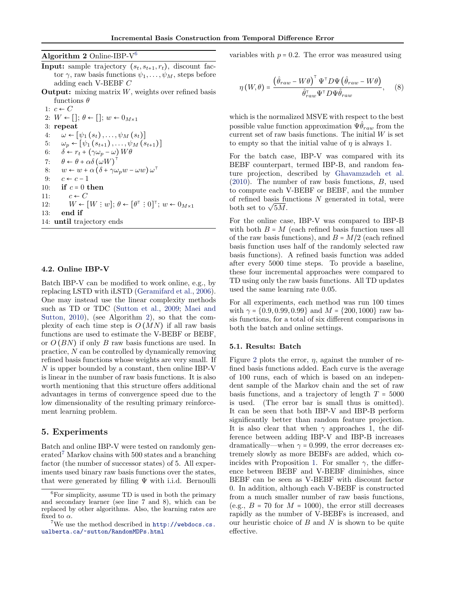<span id="page-5-0"></span>Algorithm  $2$  Online-IBP- $V^6$ 

- **Input:** sample trajectory  $(s_t, s_{t+1}, r_t)$ , discount factor  $\gamma$ , raw basis functions  $\psi_1, \ldots, \psi_M$ , steps before adding each V-BEBF C
- **Output:** mixing matrix  $W$ , weights over refined basis functions  $\theta$

1:  $c \leftarrow C$ 2:  $W \leftarrow [\cdot]; \theta \leftarrow [\cdot]; w \leftarrow 0_{M \times 1}$ 3: repeat 4:  $\omega \leftarrow [\psi_1(s_t), \ldots, \psi_M(s_t)]$ 5:  $\omega_p \leftarrow [\psi_1(s_{t+1}), \ldots, \psi_M(s_{t+1})]$ 6:  $\delta \leftarrow r_t + (\gamma \omega_p - \omega) W \theta$ 7:  $\theta \leftarrow \theta + \alpha \delta (\omega W)^{\dagger}$ 8:  $w \leftarrow w + \alpha (\delta + \gamma \omega_p w - \omega w) \omega^{\dagger}$ 9:  $c \leftarrow c - 1$ 10: if  $c = 0$  then 11:  $c \leftarrow C$ 12:  $W \leftarrow [W : w]; \theta \leftarrow [\theta^{\top} : 0]^{\top}; w \leftarrow 0_{M \times 1}$ 13: end if 14: until trajectory ends

#### 4.2. Online IBP-V

Batch IBP-V can be modified to work online, e.g., by replacing LSTD with iLSTD [\(Geramifard et al.,](#page-6-0) [2006\)](#page-6-0). One may instead use the linear complexity methods such as TD or TDC [\(Sutton et al.,](#page-7-0) [2009;](#page-7-0) [Maei and](#page-7-0) [Sutton,](#page-7-0) [2010\)](#page-7-0), (see Algorithm 2), so that the complexity of each time step is  $O(MN)$  if all raw basis functions are used to estimate the V-BEBF or BEBF, or  $O(BN)$  if only B raw basis functions are used. In practice, N can be controlled by dynamically removing refined basis functions whose weights are very small. If N is upper bounded by a constant, then online IBP-V is linear in the number of raw basis functions. It is also worth mentioning that this structure offers additional advantages in terms of convergence speed due to the low dimensionality of the resulting primary reinforcement learning problem.

# 5. Experiments

Batch and online IBP-V were tested on randomly gen $erated<sup>7</sup> Markov chains with 500 states and a branching$ factor (the number of successor states) of 5. All experiments used binary raw basis functions over the states, that were generated by filling  $\Psi$  with i.i.d. Bernoulli variables with  $p = 0.2$ . The error was measured using

$$
\eta(W,\theta) = \frac{\left(\hat{\theta}_{raw} - W\theta\right)^{\top} \Psi^{\top} D \Psi \left(\hat{\theta}_{raw} - W\theta\right)}{\hat{\theta}_{raw}^{\top} \Psi^{\top} D \Psi \hat{\theta}_{raw}}, \quad (8)
$$

which is the normalized MSVE with respect to the best possible value function approximation  $\Psi \theta_{raw}$  from the current set of raw basis functions. The initial  $W$  is set to empty so that the initial value of  $\eta$  is always 1.

For the batch case, IBP-V was compared with its BEBF counterpart, termed IBP-B, and random feature projection, described by [Ghavamzadeh et al.](#page-6-0) [\(2010\)](#page-6-0). The number of raw basis functions, B, used to compute each V-BEBF or BEBF, and the number of refined basis functions  $N$  generated in total, were or renned basis tu<br>both set to  $\sqrt{5M}$ .

For the online case, IBP-V was compared to IBP-B with both  $B = M$  (each refined basis function uses all of the raw basis functions), and  $B = M/2$  (each refined basis function uses half of the randomly selected raw basis functions). A refined basis function was added after every 5000 time steps. To provide a baseline, these four incremental approaches were compared to TD using only the raw basis functions. All TD updates used the same learning rate 0.05.

For all experiments, each method was run 100 times with  $\gamma = \{0.9, 0.99, 0.99\}$  and  $M = \{200, 1000\}$  raw basis functions, for a total of six different comparisons in both the batch and online settings.

#### 5.1. Results: Batch

Figure [2](#page-6-0) plots the error,  $\eta$ , against the number of refined basis functions added. Each curve is the average of 100 runs, each of which is based on an independent sample of the Markov chain and the set of raw basis functions, and a trajectory of length  $T = 5000$ is used. (The error bar is small thus is omitted). It can be seen that both IBP-V and IBP-B perform significantly better than random feature projection. It is also clear that when  $\gamma$  approaches 1, the difference between adding IBP-V and IBP-B increases dramatically—when  $\gamma = 0.999$ , the error decreases extremely slowly as more BEBFs are added, which co-incides with Proposition [1.](#page-2-0) For smaller  $\gamma$ , the difference between BEBF and V-BEBF diminishes, since BEBF can be seen as V-BEBF with discount factor 0. In addition, although each V-BEBF is constructed from a much smaller number of raw basis functions, (e.g.,  $B = 70$  for  $M = 1000$ ), the error still decreases rapidly as the number of V-BEBFs is increased, and our heuristic choice of  $B$  and  $N$  is shown to be quite effective.

 ${}^{6}$ For simplicity, assume TD is used in both the primary and secondary learner (see line 7 and 8), which can be replaced by other algorithms. Also, the learning rates are fixed to  $\alpha$ .

 ${\rm ^7We}$  use the method described in  ${\tt http://webdocs.cs.}$  ${\tt http://webdocs.cs.}$  ${\tt http://webdocs.cs.}$ [ualberta.ca/~sutton/RandomMDPs.html](http://webdocs.cs.ualberta.ca/~sutton/RandomMDPs.html)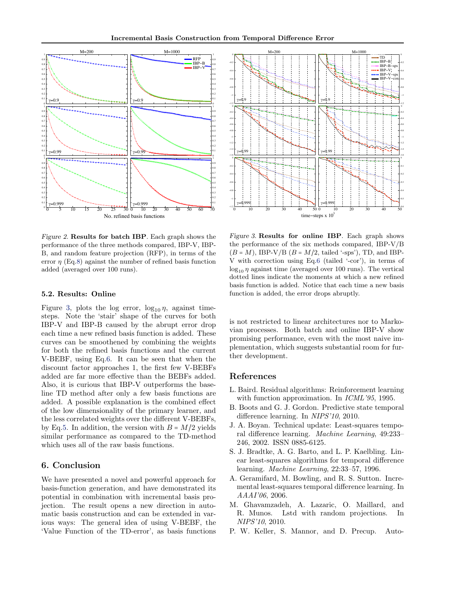<span id="page-6-0"></span>

Figure 2. Results for batch IBP. Each graph shows the performance of the three methods compared, IBP-V, IBP-B, and random feature projection (RFP), in terms of the error  $\eta$  (Eq[.8\)](#page-5-0) against the number of refined basis function added (averaged over 100 runs).

#### 5.2. Results: Online

Figure 3, plots the log error,  $\log_{10} \eta$ , against timesteps. Note the 'stair' shape of the curves for both IBP-V and IBP-B caused by the abrupt error drop each time a new refined basis function is added. These curves can be smoothened by combining the weights for both the refined basis functions and the current V-BEBF, using Eq[.6.](#page-4-0) It can be seen that when the discount factor approaches 1, the first few V-BEBFs added are far more effective than the BEBFs added. Also, it is curious that IBP-V outperforms the baseline TD method after only a few basis functions are added. A possible explanation is the combined effect of the low dimensionality of the primary learner, and the less correlated weights over the different V-BEBFs, by Eq[.5.](#page-2-0) In addition, the version with  $B = M/2$  yields similar performance as compared to the TD-method which uses all of the raw basis functions.

# 6. Conclusion

We have presented a novel and powerful approach for basis-function generation, and have demonstrated its potential in combination with incremental basis projection. The result opens a new direction in automatic basis construction and can be extended in various ways: The general idea of using V-BEBF, the 'Value Function of the TD-error', as basis functions



Figure 3. Results for online IBP. Each graph shows the performance of the six methods compared, IBP-V/B  $(B = M)$ , IBP-V/B  $(B = M/2$ , tailed '-sps'), TD, and IBP-V with correction using Eq[.6](#page-4-0) (tailed '-cor'), in terms of  $\log_{10} \eta$  against time (averaged over 100 runs). The vertical dotted lines indicate the moments at which a new refined basis function is added. Notice that each time a new basis function is added, the error drops abruptly.

is not restricted to linear architectures nor to Markovian processes. Both batch and online IBP-V show promising performance, even with the most naive implementation, which suggests substantial room for further development.

#### References

- L. Baird. Residual algorithms: Reinforcement learning with function approximation. In *ICML'95*, 1995.
- B. Boots and G. J. Gordon. Predictive state temporal difference learning. In NIPS'10, 2010.
- J. A. Boyan. Technical update: Least-squares temporal difference learning. Machine Learning, 49:233– 246, 2002. ISSN 0885-6125.
- S. J. Bradtke, A. G. Barto, and L. P. Kaelbling. Linear least-squares algorithms for temporal difference learning. Machine Learning, 22:33–57, 1996.
- A. Geramifard, M. Bowling, and R. S. Sutton. Incremental least-squares temporal difference learning. In AAAI'06, 2006.
- M. Ghavamzadeh, A. Lazaric, O. Maillard, and R. Munos. Lstd with random projections. In NIPS'10, 2010.
- P. W. Keller, S. Mannor, and D. Precup. Auto-